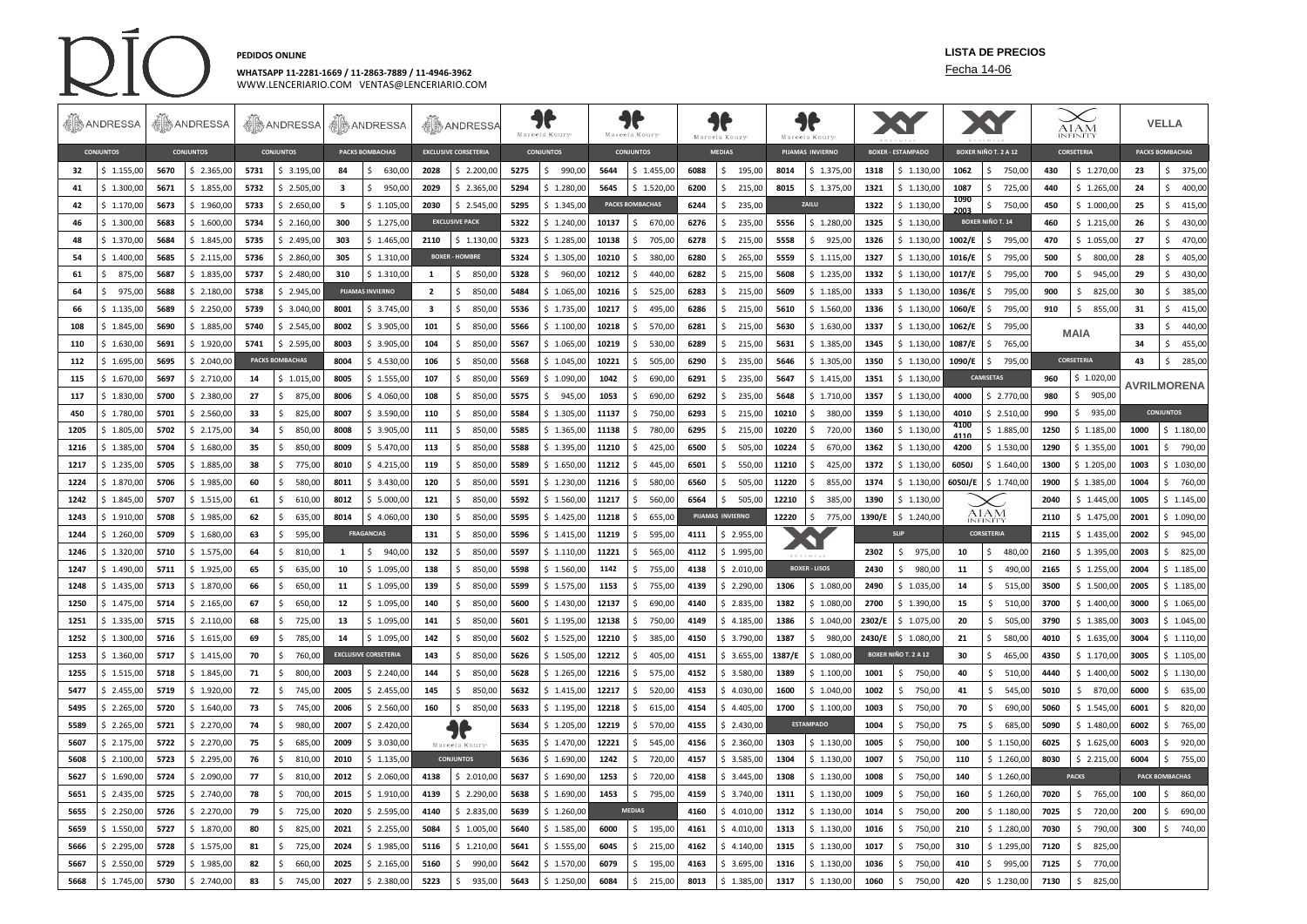

## **WHATSAPP 11-2281-1669 / 11-2863-7889 / 11-4946-3962** Fecha 14-06

**PEDIDOS ONLINE LISTA DE PRECIOS**

## WWW.LENCERIARIO.COM VENTAS@LENCERIARIO.COM

|      | <b>AD</b> ANDRESSA                   | <b>AD</b> ANDRESSA |                  | <b>SANDRESSA SANDRESSA</b> |                         | <b>A</b> ANDRESSA |                             | JF<br>Marcela Koury     |                       | Marcela Koury |                        | Marcela Koury    |                        | 11<br>Marcela Koury |                  | X                       |                      | XY                       |                         | <b>AIAM</b>                 |                         | <b>VELLA</b> |               |                        |                       |
|------|--------------------------------------|--------------------|------------------|----------------------------|-------------------------|-------------------|-----------------------------|-------------------------|-----------------------|---------------|------------------------|------------------|------------------------|---------------------|------------------|-------------------------|----------------------|--------------------------|-------------------------|-----------------------------|-------------------------|--------------|---------------|------------------------|-----------------------|
|      | <b>CONJUNTOS</b><br><b>CONJUNTOS</b> |                    | <b>CONJUNTOS</b> |                            | <b>PACKS BOMBACHAS</b>  |                   | <b>EXCLUSIVE CORSETERIA</b> |                         | <b>CONJUNTOS</b>      |               |                        | <b>CONJUNTOS</b> |                        | <b>MEDIAS</b>       |                  | <b>PIJAMAS INVIERNO</b> |                      | <b>BOXER - ESTAMPADO</b> |                         | <b>BOXER NIÑO T. 2 A 12</b> |                         | CORSETERIA   |               | <b>PACKS BOMBACHAS</b> |                       |
| 32   | \$1.155.00                           | 5670               | \$2.365.00       | 5731                       | \$3.195.00              | 84                | 630.00<br>S.                | 2028                    | \$2,200.00            | 5275          | 990.00<br>$\mathsf{S}$ | 5644             | \$1.455.00             | 6088                | \$195.00         | 8014                    | \$1.375,00           | 1318                     | \$1.130.00              | 1062                        | \$750.00                | 430          | \$1.270.00    | 23                     | \$375,00              |
| 41   | \$1.300,00                           | 5671               | \$1.855,00       | 5732                       | \$2.505,00              | 3                 | Ś.<br>950,00                | 2029                    | \$2.365,00            | 5294          | \$1.280,00             | 5645             | \$1.520,00             | 6200                | 215,00<br>Ŝ.     | 8015                    | \$1.375,00           | 1321                     | \$1.130,00              | 1087                        | \$<br>725,00            | 440          | \$1.265,00    | 24                     | \$400,00              |
| 42   | \$1.170,00                           | 5673               | \$1.960,00       | 5733                       | \$2.650,00              | - 5               | \$1.105,00                  | 2030                    | \$2.545,00            | 5295          | \$1.345,00             |                  | <b>PACKS BOMBACHAS</b> | 6244                | 235,00<br>Ŝ.     |                         | ZAILU                | 1322                     | \$1.130,00              | 1090<br>2003                | \$750,00                | 450          | \$1.000,00    | 25                     | \$415,00              |
| 46   | \$1.300,00                           | 5683               | \$1.600,00       | 5734                       | \$2.160,00              | 300               | \$1.275,00                  |                         | <b>EXCLUSIVE PACK</b> | 5322          | \$1.240,00             | 10137            | \$<br>670,00           | 6276                | 235,00<br>\$     | 5556                    | \$1.280,00           | 1325                     | \$1.130,00              |                             | <b>BOXER NIÑO T. 14</b> | 460          | \$1.215,00    | 26                     | \$430,00              |
| 48   | \$1.370,00                           | 5684               | \$1.845,00       | 5735                       | \$2.495,00              | 303               | \$1.465,00                  | 2110                    | \$1.130,00            | 5323          | \$1.285,00             | 10138            | \$<br>705,00           | 6278                | Ŝ.<br>215,00     | 5558                    | \$925,00             | 1326                     | \$1.130,00              | 1002/E                      | Ŝ.<br>795,00            | 470          | \$1.055,00    | 27                     | \$470,00              |
| 54   | \$1.400,00                           | 5685               | \$2.115,00       | 5736                       | \$2.860,00              | 305               | \$1.310,00                  |                         | <b>BOXER - HOMBRE</b> | 5324          | \$1.305,00             | 10210            | \$<br>380,00           | 6280                | 265,00<br>\$     | 5559                    | \$1.115,00           | 1327                     | \$1.130,00              | 1016/E                      | 795,00<br>\$            | 500          | 800,00<br>-Ŝ. | 28                     | \$405,00              |
| 61   | Ŝ.<br>875,00                         | 5687               | \$1.835,00       | 5737                       | \$2.480,00              | 310               | \$1.310,00                  | $\mathbf{1}$            | \$<br>850,00          | 5328          | \$<br>960,00           | 10212            | Ś.<br>440,00           | 6282                | \$<br>215,00     | 5608                    | \$1.235,00           | 1332                     | \$1.130,00              | 1017/E                      | \$<br>795,00            | 700          | \$<br>945,00  | 29                     | \$430,00              |
| 64   | \$975,00                             | 5688               | \$2.180,00       | 5738                       | \$2.945,00              |                   | <b>PIJAMAS INVIERNO</b>     | $\overline{2}$          | \$<br>850,00          | 5484          | \$1.065,00             | 10216            | 525,00<br>\$           | 6283                | \$215,00         | 5609                    | \$1.185,00           | 1333                     | \$1.130,00              | 1036/E                      | 795,00<br>Ś.            | 900          | \$825,00      | 30                     | \$385,00              |
| 66   | \$1.135,00                           | 5689               | \$2.250,00       | 5739                       | \$3.040,00              | 8001              | \$3.745,00                  | $\overline{\mathbf{3}}$ | \$<br>850,00          | 5536          | \$1.735,00             | 10217            | \$<br>495,00           | 6286                | 215,00<br>Ŝ.     | 5610                    | \$1.560,00           | 1336                     | \$1.130,00              | 1060/E                      | Ŝ.<br>795,00            | 910          | Ŝ.<br>855,00  | 31                     | \$415,00              |
| 108  | \$1.845,00                           | 5690               | \$1.885,00       | 5740                       | \$2.545,00              | 8002              | \$3.905,00                  | 101                     | \$<br>850,00          | 5566          | \$1.100,00             | 10218            | Ŝ.<br>570,00           | 6281                | \$<br>215,00     | 5630                    | \$1.630,00           | 1337                     | \$1.130,00              | 1062/E                      | 795,00<br>Ś             |              | <b>MAIA</b>   | 33                     | \$440,00              |
| 110  | \$1.630,00                           | 5691               | \$1.920,00       | 5741                       | \$2.595,00              | 8003              | \$3.905,00                  | 104                     | \$850,00              | 5567          | \$1.065,00             | 10219            | 530,00<br>Ŝ.           | 6289                | \$215,00         | 5631                    | \$1.385,00           | 1345                     | \$1.130,00              | 1087/E                      | 765,00<br>\$            |              |               | 34                     | \$455,00              |
| 112  | \$1.695,00                           | 5695               | \$2.040,00       |                            | <b>PACKS BOMBACHAS</b>  | 8004              | \$4.530,00                  | 106                     | \$<br>850,00          | 5568          | \$1.045,00             | 10221            | \$<br>505,00           | 6290                | \$<br>235,00     | 5646                    | \$1.305,00           | 1350                     | \$1.130,00              | 1090/E                      | Ŝ.<br>795,00            |              | CORSETERIA    | 43                     | \$<br>285,00          |
| 115  | \$1.670,00                           | 5697               | \$2.710,00       | 14                         | \$1.015,00              | 8005              | \$1.555,00                  | 107                     | \$850,00              | 5569          | \$1.090,00             | 1042             | Ŝ.<br>690,00           | 6291                | \$235,00         | 5647                    | \$1.415,00           | 1351                     | \$1.130,00              |                             | <b>CAMISETAS</b>        | 960          | \$1.020,00    |                        | <b>AVRILMORENA</b>    |
| 117  | \$1.830,00                           | 5700               | \$2.380,00       | 27                         | $\hat{\zeta}$<br>875,00 | 8006              | \$4.060,00                  | 108                     | \$<br>850,00          | 5575          | \$945,00               | 1053             | \$.<br>690,00          | 6292                | 235,00<br>Ŝ.     | 5648                    | \$1.710,00           | 1357                     | \$1.130,00              | 4000                        | \$2.770,00              | 980          | 905,00        |                        |                       |
| 450  | \$1.780,00                           | 5701               | \$2.560,00       | 33                         | \$<br>825,00            | 8007              | \$3.590,00                  | 110                     | \$<br>850,00          | 5584          | \$1.305,00             | 11137            | Ŝ.<br>750,00           | 6293                | Ŝ.<br>215,00     | 10210                   | \$380,00             | 1359                     | \$1.130,00              | 4010                        | \$2.510,00              | 990          | \$935,00      |                        | <b>CONJUNTOS</b>      |
| 1205 | \$1.805,00                           | 5702               | \$2.175,00       | 34                         | $\mathsf{S}$<br>850,00  | 8008              | \$3.905,00                  | 111                     | \$850,00              | 5585          | \$1.365,00             | 11138            | 780,00<br>Ŝ.           | 6295                | 215,00<br>Ŝ.     | 10220                   | \$720,00             | 1360                     | \$1.130,00              | 4100<br>4110                | \$1.885,00              | 1250         | \$1.185,00    | 1000                   | \$1.180,00            |
| 1216 | \$1.385,00                           | 5704               | \$1.680,00       | 35                         | $\mathsf{S}$<br>850,00  | 8009              | \$5.470,00                  | 113                     | \$<br>850,00          | 5588          | \$1.395,00             | 11210            | \$.<br>425.00          | 6500                | 505,00<br>Ś.     | 10224                   | \$<br>670,00         | 1362                     | \$1.130,00              | 4200                        | \$1.530,00              | 1290         | \$1.355,00    | 1001                   | 790,00                |
| 1217 | \$1.235,00                           | 5705               | \$1.885,00       | - 38                       | \$<br>775,00            | 8010              | \$4.215,00                  | 119                     | \$850,00              | 5589          | \$1.650,00             | 11212            | \$<br>445,00           | 6501                | \$550,00         | 11210                   | \$425,00             | 1372                     | \$1.130,00              | 6050J                       | \$1.640,00              | 1300         | \$1.205,00    | 1003                   | \$1.030,00            |
| 1224 | \$1.870,00                           | 5706               | \$1.985,00       | 60                         | 580,00<br>Ŝ.            | 8011              | \$3.430,00                  | 120                     | \$850,00              | 5591          | \$1,230.00             | 11216            | 580,00<br>Ŝ.           | 6560                | 505,00<br>Ŝ.     | 11220                   | \$855,00             | 1374                     | \$1.130,00              | 6050J/E                     | \$1.740,00              | 1900         | \$1.385,00    | 1004                   | \$760,00              |
| 1242 | \$1.845,00                           | 5707               | \$1.515,00       | 61                         | Ŝ.<br>610,00            | 8012              | \$5.000,00                  | 121                     | \$<br>850,00          | 5592          | \$1.560,00             | 11217            | \$<br>560,00           | 6564                | Ŝ.<br>505,00     | 12210                   | \$385,00             | 1390                     | \$1.130,00              |                             |                         | 2040         | \$1.445,00    | 1005                   | \$1.145,00            |
| 1243 | \$1.910,00                           | 5708               | \$1.985,00       | 62                         | \$<br>635,00            | 8014              | \$4.060,00                  | 130                     | \$850,00              | 5595          | \$1.425,00             | 11218            | Ŝ.<br>655,00           |                     | PIJAMAS INVIERNO | 12220                   | \$775,00             | 1390/E                   | \$1.240,00              |                             | AIAM<br><b>INFINITY</b> | 2110         | \$1.475,00    | 2001                   | \$1.090,00            |
| 1244 | \$1.260,00                           | 5709               | \$1.680,00       | 63                         | Ŝ.<br>595,00            |                   | <b>FRAGANCIAS</b>           | 131                     | \$850,00              | 5596          | \$1.415,00             | 11219            | Ŝ.<br>595,00           | 4111                | \$2.955,00       |                         |                      |                          | <b>SLIP</b>             |                             | <b>CORSETERIA</b>       | 2115         | \$1.435,00    | 2002                   | \$945,00              |
| 1246 | \$1.320,00                           | 5710               | \$1.575,00       | 64                         | 810,00<br>Ŝ.            | $\mathbf{1}$      | 940,00<br>Ŝ.                | 132                     | \$850,00              | 5597          | \$1.110,00             | 11221            | 565,00<br>\$           | 4112                | \$1.995,00       |                         |                      | 2302                     | 975,00<br>Ŝ.            | 10                          | \$480,00                | 2160         | \$1.395,00    | 2003                   | \$825,00              |
| 1247 | \$1.490,00                           | 5711               | \$1.925,00       | 65                         | \$<br>635,00            | 10                | \$1.095,00                  | 138                     | \$850,00              | 5598          | \$1.560,00             | 1142             | Ŝ.<br>755,00           | 4138                | \$2.010,00       |                         | <b>BOXER - LISOS</b> | 2430                     | 980,00<br>Ŝ.            | 11                          | \$<br>490,00            | 2165         | \$1.255,00    | 2004                   | \$1.185,00            |
| 1248 | \$1.435,00                           | 5713               | \$1.870,00       | 66                         | \$<br>650,00            | 11                | \$1.095,00                  | 139                     | \$850,00              | 5599          | \$1.575,00             | 1153             | Ŝ.<br>755,00           | 4139                | \$2.290,00       | 1306                    | \$1.080,00           | 2490                     | \$1.035,00              | 14                          | \$515,00                | 3500         | \$1.500,00    | 2005                   | \$1.185,00            |
| 1250 | \$1.475,00                           | 5714               | \$2.165,00       | 67                         | \$<br>650,00            | 12                | \$1.095,00                  | 140                     | \$850,00              | 5600          | \$1.430,00             | 12137            | 690,00<br>\$           | 4140                | \$2.835,00       | 1382                    | \$1.080,00           | 2700                     | \$1.390,00              | 15                          | \$ 510,00               | 3700         | \$1.400,00    | 3000                   | \$1.065,00            |
| 1251 | \$1.335,00                           | 5715               | \$2.110,00       | 68                         | Ŝ.<br>725,00            | 13                | \$1.095,00                  | 141                     | \$850,00              | 5601          | \$1.195,00             | 12138            | Ŝ.<br>750,00           | 4149                | \$4.185,00       | 1386                    | \$1.040,00           | 2302/E                   | \$1.075,00              | 20                          | Ś.<br>505,00            | 3790         | \$1.385,00    | 3003                   | \$1.045,00            |
| 1252 | \$1.300,00                           | 5716               | \$1.615,00       | 69                         | \$<br>785,00            | 14                | \$1.095,00                  | 142                     | \$850,00              | 5602          | \$1.525,00             | 12210            | Ś.<br>385,00           | 4150                | \$3.790,00       | 1387                    | \$980,00             | 2430/E                   | \$1.080,00              | 21                          | Ś.<br>580,00            | 4010         | \$1.635,00    | 3004                   | \$1.110,00            |
| 1253 | \$1.360,00                           | 5717               | \$1.415,00       | - 70                       | \$<br>760,00            |                   | <b>EXCLUSIVE CORSETERIA</b> | 143                     | \$850,00              | 5626          | \$1.505,00             | 12212            | \$<br>405,00           | 4151                | \$3.655,00       | 1387/F                  | \$1.080,00           |                          | BOXER NIÑO T. 2 A 12    | 30                          | Ś.<br>465,00            | 4350         | \$1.170,00    | 3005                   | \$1.105,00            |
| 1255 | \$1.515,00                           | 5718               | \$1.845,00       | 71                         | Ŝ.<br>800,00            | 2003              | \$2.240,00                  | 144                     | \$<br>850,00          | 5628          | \$1.265,00             | 12216            | \$<br>575,00           | 4152                | \$3.580,00       | 1389                    | \$1.100,00           | 1001                     | 750,00<br>Ŝ.            | 40                          | \$<br>510,00            | 4440         | \$1.400,00    | 5002                   | \$1.130,00            |
| 5477 | \$2.455,00                           | 5719               | \$1.920,00       | 72                         | \$745,00                | 2005              | \$2.455,00                  | 145                     | \$850,00              | 5632          | \$1.415,00             | 12217            | \$<br>520,00           | 4153                | \$4.030,00       | 1600                    | \$1.040,00           | 1002                     | 750,00<br>Ŝ.            | -41                         | \$545,00                | 5010         | \$870,00      | 6000                   | \$635,00              |
| 5495 | \$2.265,00                           | 5720               | \$1.640,00       | 73                         | \$<br>745,00            | 2006              | \$2.560,00                  | 160                     | \$<br>850,00          | 5633          | \$1.195,00             | 12218            | \$<br>615,00           | 4154                | \$4.405,00       | 1700                    | \$1.100,00           | 1003                     | <sup>\$</sup><br>750,00 | 70                          | \$<br>690,00            | 5060         | \$1.545,00    | 6001                   | 820,00<br>\$          |
| 5589 | \$2.265,00                           | 5721               | \$2.270,00       | 74                         | Ŝ.<br>980,00            | 2007              | \$2.420,00                  |                         | 7                     | 5634          | \$1.205,00             | 12219            | Ŝ.<br>570,00           | 4155                | \$2.430,00       |                         | <b>ESTAMPADO</b>     | 1004                     | 750,00<br>Ŝ.            | 75                          | Ś.<br>685,00            | 5090         | \$1.480,00    | 6002                   | 765,00<br>Ŝ.          |
| 5607 | \$2.175,00                           | 5722               | \$2.270,00       | - 75                       | 685,00<br>Ŝ.            | 2009              | \$3.030,00                  |                         | Marcela Koury         | 5635          | \$1.470,00             | 12221            | Ś.<br>545,00           | 4156                | \$2.360,00       | 1303                    | \$1.130,00           | 1005                     | 750,00<br>Ŝ.            | 100                         | \$1.150,00              | 6025         | \$1.625,00    | 6003                   | 920,00<br>Ŝ.          |
| 5608 | \$2.100,00                           | 5723               | \$2.295,00       | - 76                       | Ŝ.<br>810,00            | 2010              | \$1.135,00                  |                         | <b>CONJUNTOS</b>      | 5636          | \$1.690,00             | 1242             | \$<br>720,00           | 4157                | \$3.585,00       | 1304                    | \$1.130,00           | 1007                     | Ŝ.<br>750,00            | 110                         | \$1.260,00              | 8030         | \$2.215,00    | 6004                   | Ŝ.<br>755,00          |
| 5627 | \$1.690,00                           | 5724               | \$2.090,00       | 77                         | \$<br>810,00            | 2012              | \$2.060,00                  | 4138                    | \$2.010,00            | 5637          | \$1.690,00             | 1253             | \$<br>720,00           | 4158                | \$3.445,00       | 1308                    | \$1.130,00           | 1008                     | 750,00<br>Ŝ.            | 140                         | \$1.260,00              |              | <b>PACKS</b>  |                        | <b>PACK BOMBACHAS</b> |
| 5651 | \$2.435,00                           | 5725               | \$2.740,00       | - 78                       | 700,00<br>Ŝ.            | 2015              | \$1.910,00                  | 4139                    | \$2.290,00            | 5638          | \$1.690,00             | 1453             | Ŝ.<br>795,00           | 4159                | \$3.740,00       | 1311                    | \$1.130,00           | 1009                     | 750,00<br>Ŝ.            | 160                         | \$1.260,00              | 7020         | \$765,00      | 100                    | 860,00<br>Ŝ.          |
| 5655 | \$2.250,00                           | 5726               | \$2.270,00       | 79                         | $\mathsf{S}$<br>725,00  | 2020              | \$2.595,00                  | 4140                    | \$2.835,00            | 5639          | \$1.260,00             |                  | <b>MEDIAS</b>          | 4160                | \$4.010,00       | 1312                    | \$1.130,00           | 1014                     | 750,00<br>Ŝ.            | 200                         | \$1.180,00              | 7025         | \$<br>720,00  | 200                    | 690,00<br>Ŝ.          |
| 5659 | \$1.550,00                           | 5727               | \$1.870,00       | 80                         | 825,00<br>\$            | 2021              | \$2.255,00                  | 5084                    | \$1.005,00            | 5640          | \$1.585,00             | 6000             | \$<br>195,00           | 4161                | \$4.010,00       | 1313                    | \$1.130,00           | 1016                     | 750,00<br>-S            | 210                         | \$1.280,00              | 7030         | 790,00<br>S.  | 300                    | \$740,00              |
| 5666 | \$2.295,00                           | 5728               | \$1.575,00       | 81                         | 725,00<br>Ŝ.            | 2024              | \$1.985,00                  | 5116                    | \$1.210,00            | 5641          | \$1.555,00             | 6045             | Ś.<br>215,00           | 4162                | \$4.140,00       | 1315                    | \$1.130,00           | 1017                     | 750,00<br>Ś.            | 310                         | \$1.295,00              | 7120         | \$<br>825,00  |                        |                       |
| 5667 | \$2.550,00                           | 5729               | \$1.985,00       | 82                         | Ŝ.<br>660,00            | 2025              | \$2.165,00                  | 5160                    | Ś.<br>990,00          | 5642          | \$1.570,00             | 6079             | Ś.<br>195,00           | 4163                | \$3.695,00       | 1316                    | \$1.130,00           | 1036                     | 750,00<br>Ŝ.            | 410                         | Ś.<br>995,00            | 7125         | 770,00<br>\$  |                        |                       |
| 5668 | \$1.745,00                           | 5730               | \$2.740,00       | 83                         | 745,00<br>Ŝ.            | 2027              | \$2.380,00                  | 5223                    | \$<br>935,00          | 5643          | \$1.250,00             | 6084             | 215,00<br>\$           | 8013                | \$1.385,00       | 1317                    | \$1.130,00           | 1060                     | 750,00<br>Ŝ.            | 420                         | \$1.230,00              | 7130         | 825,00<br>\$  |                        |                       |